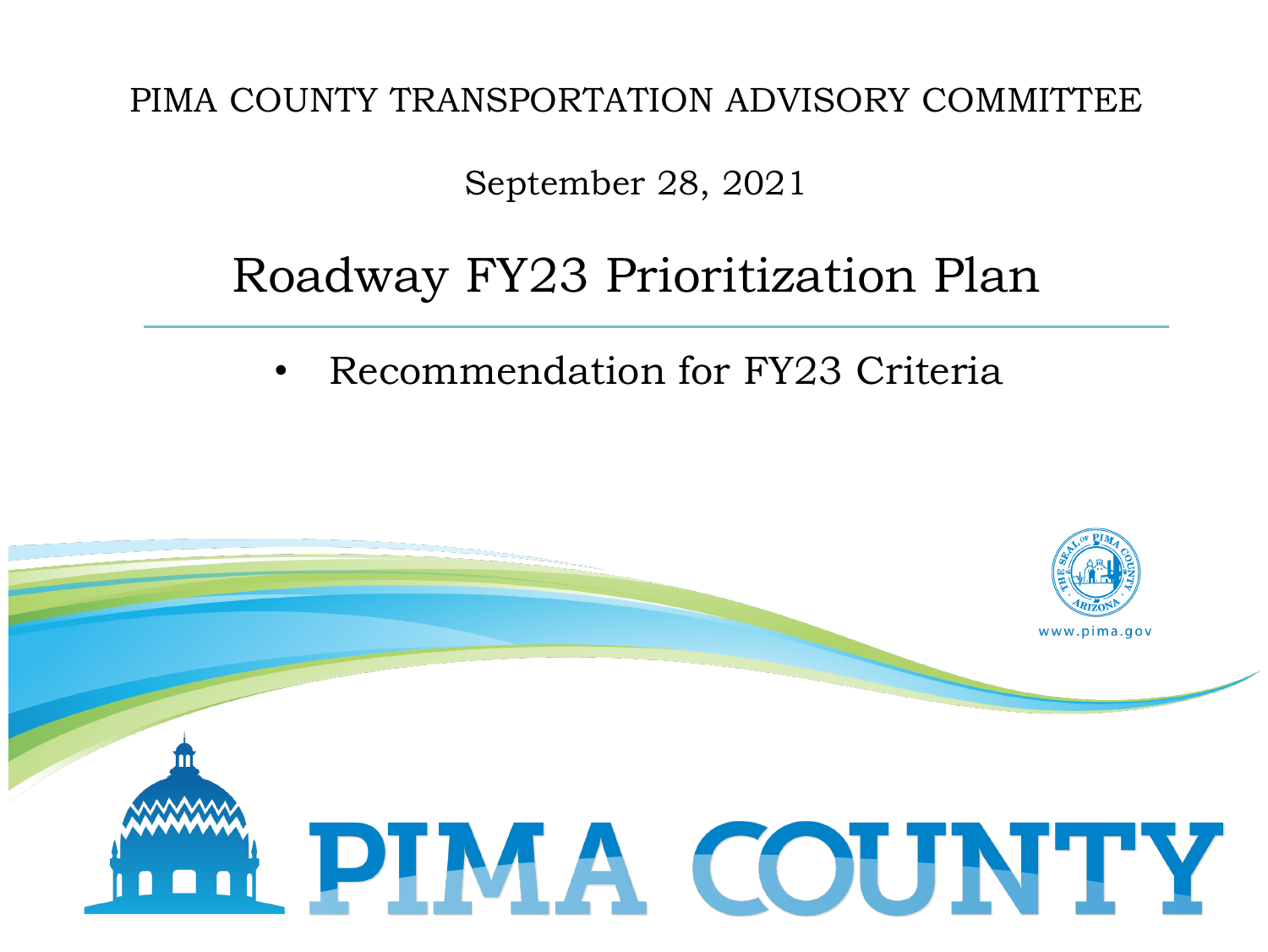PIMA COUNTY TRANSPORTATION ADVISORY COMMITTEE

September 28, 2021

#### Roadway FY23 Prioritization Plan

• Recommendation for FY23 Criteria

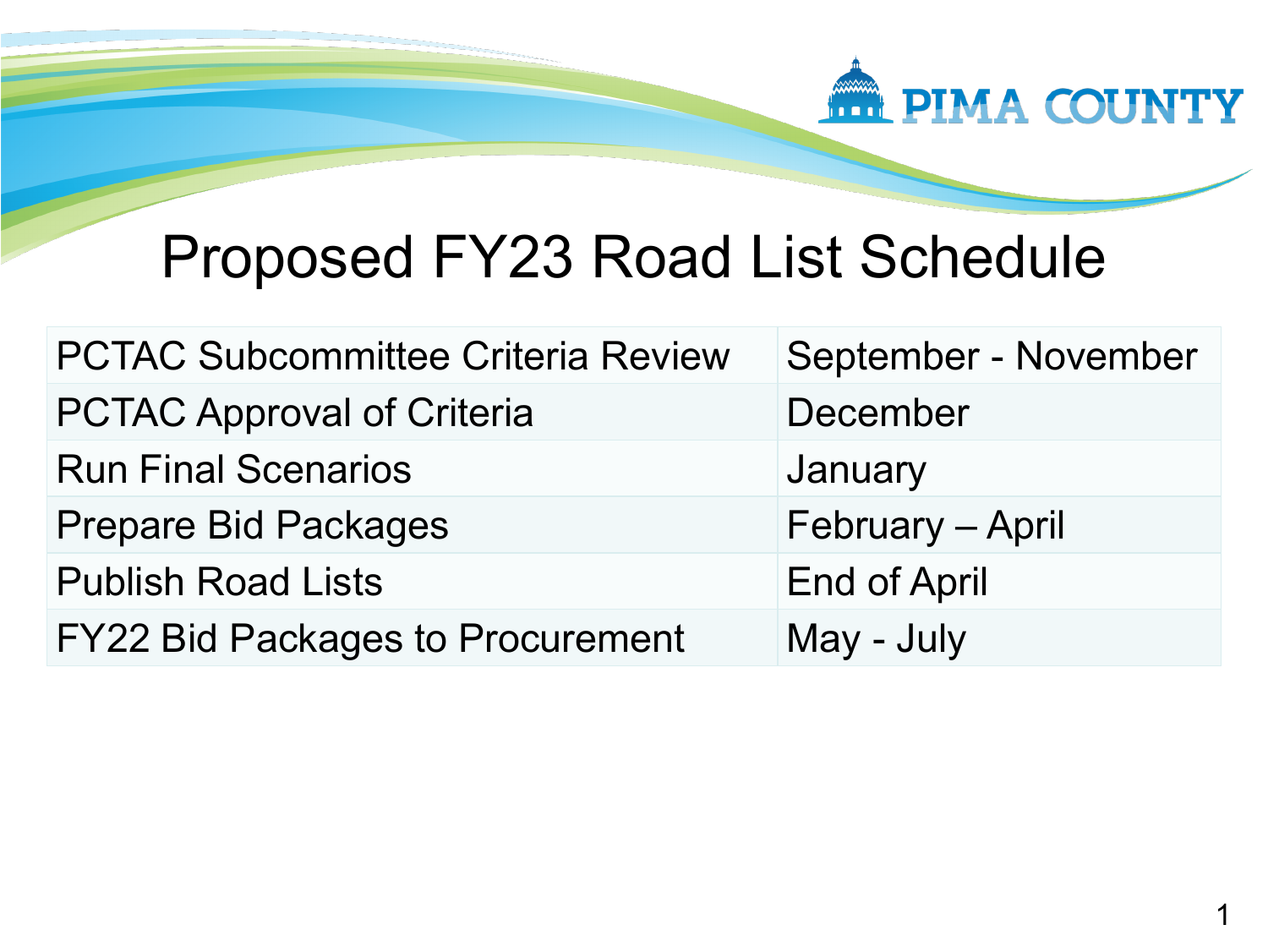

# Proposed FY23 Road List Schedule

| <b>PCTAC Subcommittee Criteria Review</b> | September - November |
|-------------------------------------------|----------------------|
| <b>PCTAC Approval of Criteria</b>         | December             |
| <b>Run Final Scenarios</b>                | January              |
| <b>Prepare Bid Packages</b>               | February - April     |
| <b>Publish Road Lists</b>                 | <b>End of April</b>  |
| <b>FY22 Bid Packages to Procurement</b>   | May - July           |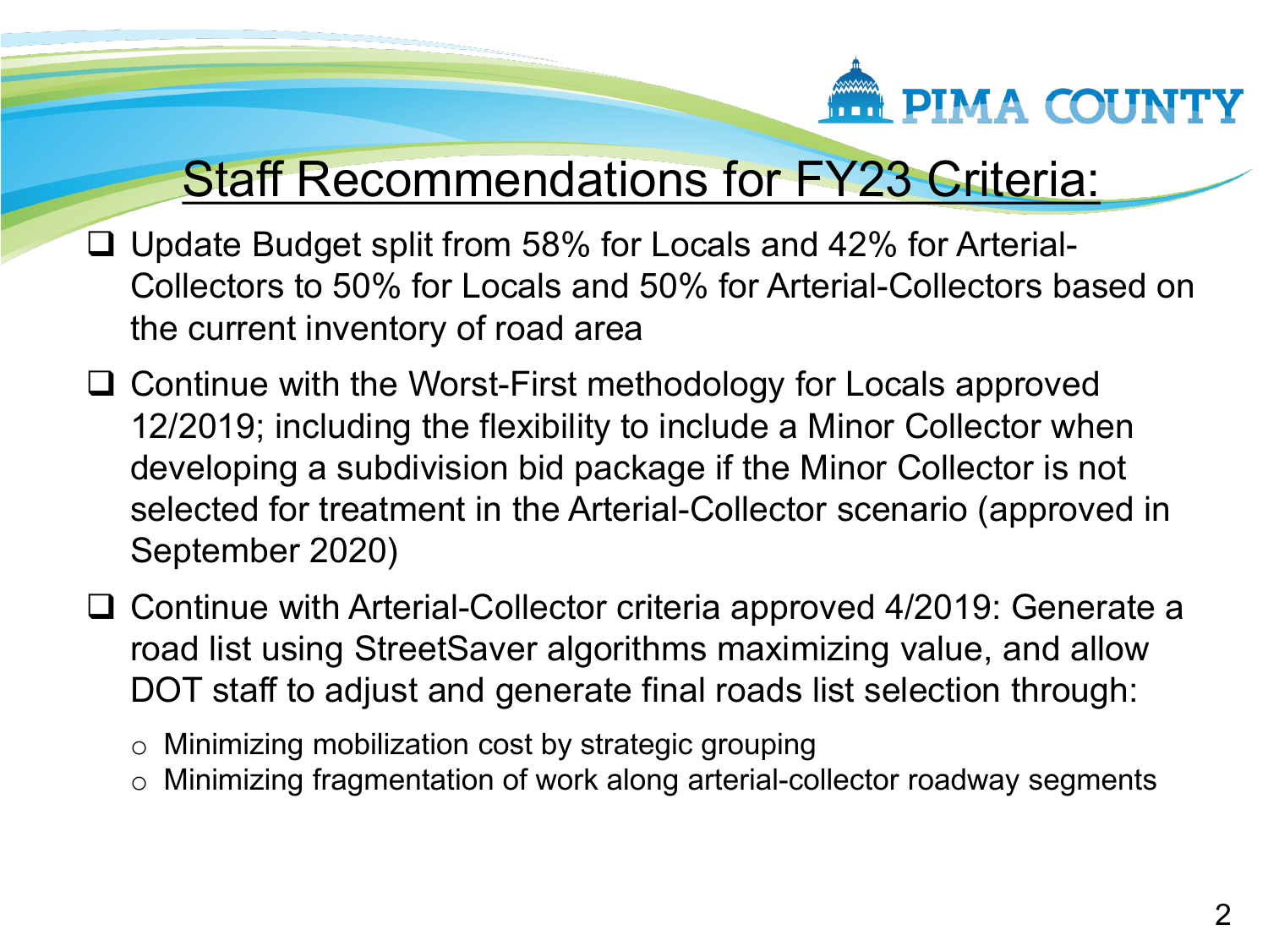

#### Staff Recommendations for FY23 Criteria:

- $\Box$  Update Budget split from 58% for Locals and 42% for Arterial-Collectors to 50% for Locals and 50% for Arterial-Collectors based on the current inventory of road area
- □ Continue with the Worst-First methodology for Locals approved 12/2019; including the flexibility to include a Minor Collector when developing a subdivision bid package if the Minor Collector is not selected for treatment in the Arterial-Collector scenario (approved in September 2020)
- □ Continue with Arterial-Collector criteria approved 4/2019: Generate a road list using StreetSaver algorithms maximizing value, and allow DOT staff to adjust and generate final roads list selection through:

o Minimizing mobilization cost by strategic grouping

o Minimizing fragmentation of work along arterial-collector roadway segments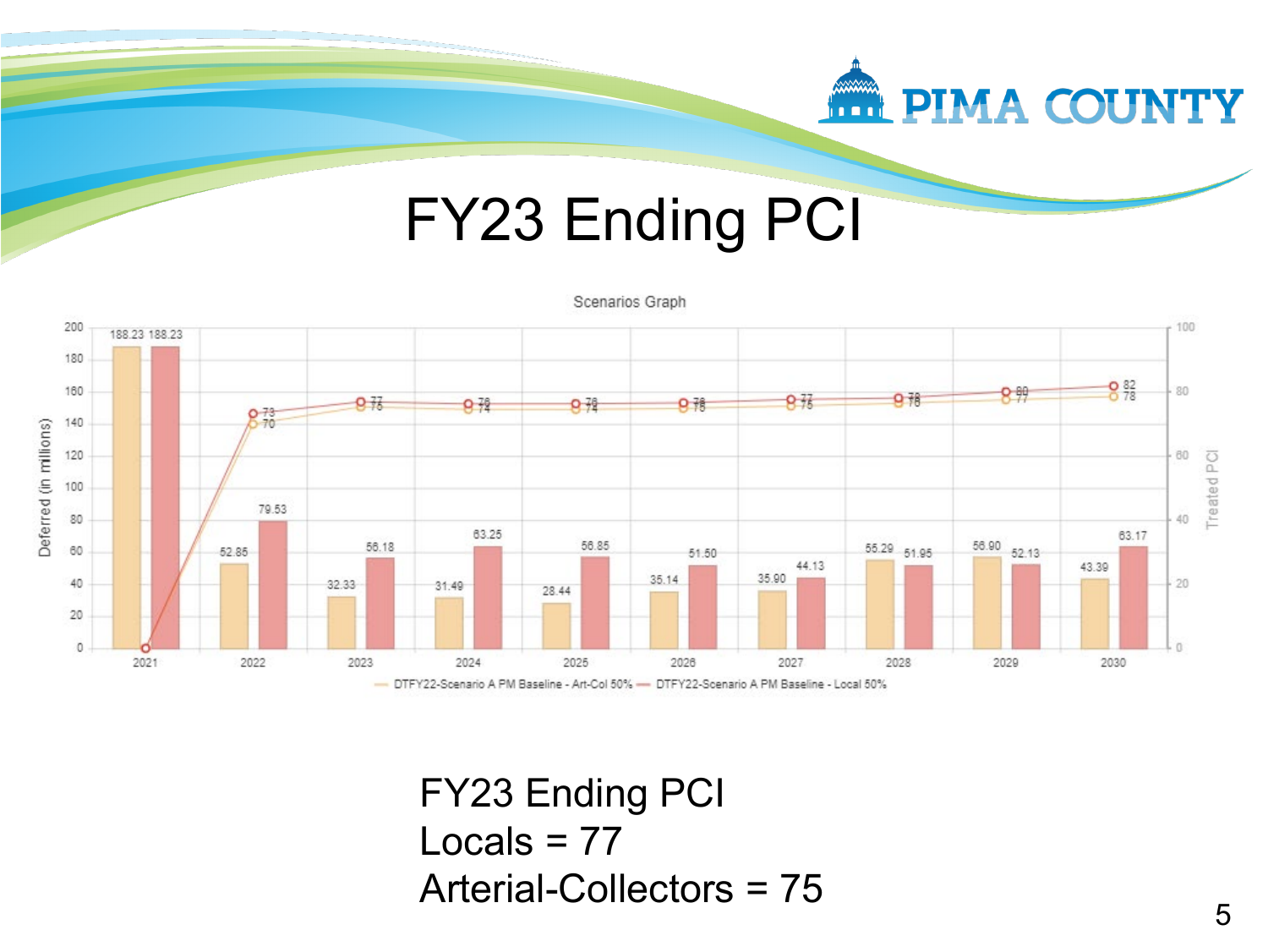

## FY23 Ending PCI



FY23 Ending PCI Locals  $= 77$ Arterial-Collectors = 75